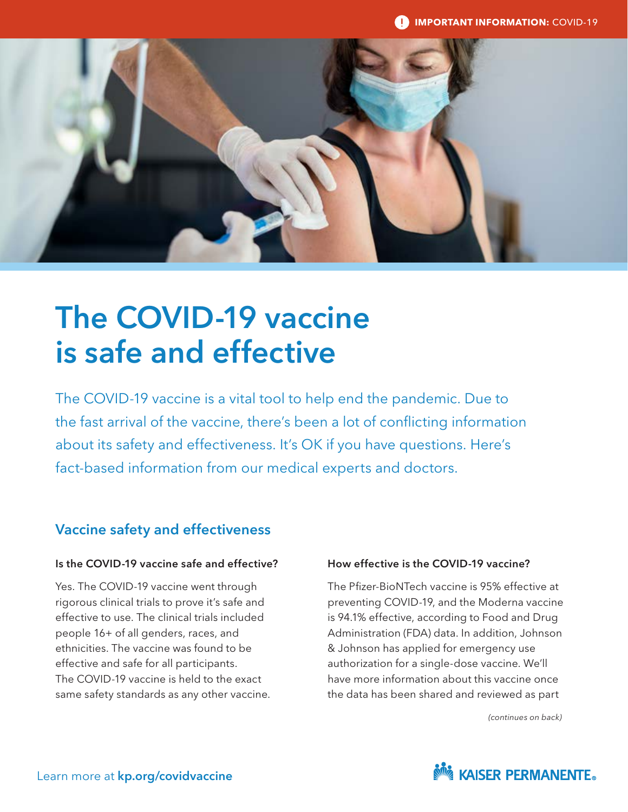

# The COVID-19 vaccine is safe and effective

The COVID-19 vaccine is a vital tool to help end the pandemic. Due to the fast arrival of the vaccine, there's been a lot of conflicting information about its safety and effectiveness. It's OK if you have questions. Here's fact-based information from our medical experts and doctors.

# Vaccine safety and effectiveness

## Is the COVID-19 vaccine safe and effective?

Yes. The COVID-19 vaccine went through rigorous clinical trials to prove it's safe and effective to use. The clinical trials included people 16+ of all genders, races, and ethnicities. The vaccine was found to be effective and safe for all participants. The COVID-19 vaccine is held to the exact same safety standards as any other vaccine.

## How effective is the COVID-19 vaccine?

The Pfizer-BioNTech vaccine is 95% effective at preventing COVID-19, and the Moderna vaccine is 94.1% effective, according to Food and Drug Administration (FDA) data. In addition, Johnson & Johnson has applied for emergency use authorization for a single-dose vaccine. We'll have more information about this vaccine once the data has been shared and reviewed as part

*(continues on back)*